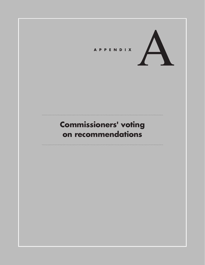

# **Commissioners' voting on recommendations**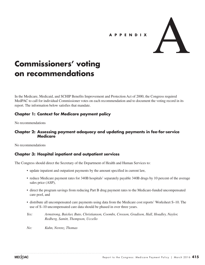

# **Commissioners' voting on recommendations**

In the Medicare, Medicaid, and SCHIP Benefits Improvement and Protection Act of 2000, the Congress required MedPAC to call for individual Commissioner votes on each recommendation and to document the voting record in its report. The information below satisfies that mandate.

### **Chapter 1: Context for Medicare payment policy**

No recommendations

### **Chapter 2: Assessing payment adequacy and updating payments in fee-for-service Medicare**

No recommendations

## **Chapter 3: Hospital inpatient and outpatient services**

The Congress should direct the Secretary of the Department of Health and Human Services to:

- update inpatient and outpatient payments by the amount specified in current law,
- reduce Medicare payment rates for 340B hospitals' separately payable 340B drugs by 10 percent of the average sales price (ASP),
- direct the program savings from reducing Part B drug payment rates to the Medicare-funded uncompensated care pool, and
- distribute all uncompensated care payments using data from the Medicare cost reports' Worksheet S–10. The use of S–10 uncompensated care data should be phased in over three years.
- *Yes: Armstrong, Baicker, Buto, Christianson, Coombs, Crosson, Gradison, Hall, Hoadley, Naylor, Redberg, Samitt, Thompson, Uccello*

*No: Kuhn, Nerenz, Thomas*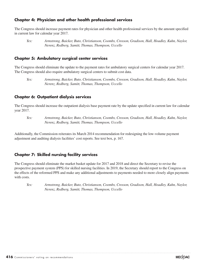### **Chapter 4: Physician and other health professional services**

The Congress should increase payment rates for physician and other health professional services by the amount specified in current law for calendar year 2017.

#### **Chapter 5: Ambulatory surgical center services**

The Congress should eliminate the update to the payment rates for ambulatory surgical centers for calendar year 2017. The Congress should also require ambulatory surgical centers to submit cost data.

*Yes: Armstrong, Baicker, Buto, Christianson, Coombs, Crosson, Gradison, Hall, Hoadley, Kuhn, Naylor, Nerenz, Redberg, Samitt, Thomas, Thompson, Uccello*

### **Chapter 6: Outpatient dialysis services**

The Congress should increase the outpatient dialysis base payment rate by the update specified in current law for calendar year 2017.

*Yes: Armstrong, Baicker, Buto, Christianson, Coombs, Crosson, Gradison, Hall, Hoadley, Kuhn, Naylor, Nerenz, Redberg, Samitt, Thomas, Thompson, Uccello*

Additionally, the Commission reiterates its March 2014 recommendation for redesigning the low-volume payment adjustment and auditing dialysis facilities' cost reports. See text box, p. 167.

### **Chapter 7: Skilled nursing facility services**

The Congress should eliminate the market basket update for 2017 and 2018 and direct the Secretary to revise the prospective payment system (PPS) for skilled nursing facilities. In 2019, the Secretary should report to the Congress on the effects of the reformed PPS and make any additional adjustments to payments needed to more closely align payments with costs.

*Yes: Armstrong, Baicker, Buto, Christianson, Coombs, Crosson, Gradison, Hall, Hoadley, Kuhn, Naylor, Nerenz, Redberg, Samitt, Thomas, Thompson, Uccello*

*Yes: Armstrong, Baicker, Buto, Christianson, Coombs, Crosson, Gradison, Hall, Hoadley, Kuhn, Naylor, Nerenz, Redberg, Samitt, Thomas, Thompson, Uccello*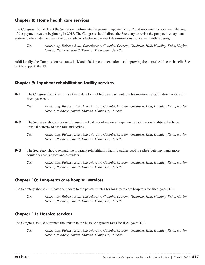#### **Chapter 8: Home health care services**

The Congress should direct the Secretary to eliminate the payment update for 2017 and implement a two-year rebasing of the payment system beginning in 2018. The Congress should direct the Secretary to revise the prospective payment system to eliminate the use of therapy visits as a factor in payment determinations, concurrent with rebasing.

*Yes: Armstrong, Baicker, Buto, Christianson, Coombs, Crosson, Gradison, Hall, Hoadley, Kuhn, Naylor, Nerenz, Redberg, Samitt, Thomas, Thompson, Uccello*

Additionally, the Commission reiterates its March 2011 recommendations on improving the home health care benefit. See text box, pp. 218–219.

#### **Chapter 9: Inpatient rehabilitation facility services**

- **9-1** The Congress should eliminate the update to the Medicare payment rate for inpatient rehabilitation facilities in fiscal year 2017.
	- *Yes: Armstrong, Baicker, Buto, Christianson, Coombs, Crosson, Gradison, Hall, Hoadley, Kuhn, Naylor, Nerenz, Redberg, Samitt, Thomas, Thompson, Uccello*
- **9-2** The Secretary should conduct focused medical record review of inpatient rehabilitation facilities that have unusual patterns of case mix and coding.
	- *Yes: Armstrong, Baicker, Buto, Christianson, Coombs, Crosson, Gradison, Hall, Hoadley, Kuhn, Naylor, Nerenz, Redberg, Samitt, Thomas, Thompson, Uccello*
- **9-3** The Secretary should expand the inpatient rehabilitation facility outlier pool to redistribute payments more equitably across cases and providers.
	- *Yes: Armstrong, Baicker, Buto, Christianson, Coombs, Crosson, Gradison, Hall, Hoadley, Kuhn, Naylor, Nerenz, Redberg, Samitt, Thomas, Thompson, Uccello*

#### **Chapter 10: Long-term care hospital services**

The Secretary should eliminate the update to the payment rates for long-term care hospitals for fiscal year 2017.

*Yes: Armstrong, Baicker, Buto, Christianson, Coombs, Crosson, Gradison, Hall, Hoadley, Kuhn, Naylor, Nerenz, Redberg, Samitt, Thomas, Thompson, Uccello*

### **Chapter 11: Hospice services**

The Congress should eliminate the update to the hospice payment rates for fiscal year 2017.

*Yes: Armstrong, Baicker, Buto, Christianson, Coombs, Crosson, Gradison, Hall, Hoadley, Kuhn, Naylor, Nerenz, Redberg, Samitt, Thomas, Thompson, Uccello*